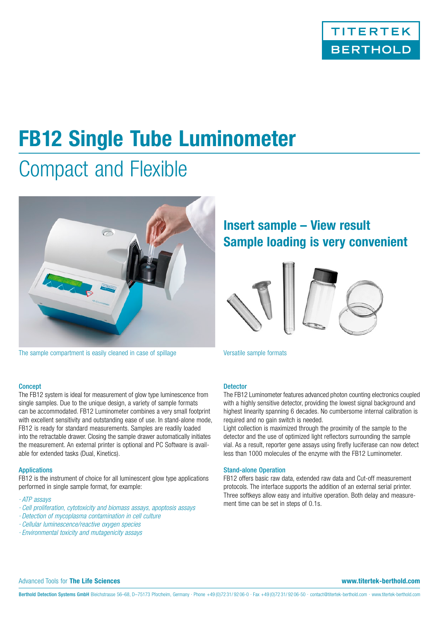

# **FB12 Single Tube Luminometer**

# Compact and Flexible



The sample compartment is easily cleaned in case of spillage Versatile sample formats

## **Concept**

The FB12 system is ideal for measurement of glow type luminescence from single samples. Due to the unique design, a variety of sample formats can be accommodated. FB12 Luminometer combines a very small footprint with excellent sensitivity and outstanding ease of use. In stand-alone mode, FB12 is ready for standard measurements. Samples are readily loaded into the retractable drawer. Closing the sample drawer automatically initiates the measurement. An external printer is optional and PC Software is available for extended tasks (Dual, Kinetics).

### Applications

FB12 is the instrument of choice for all luminescent glow type applications performed in single sample format, for example:

- *· ATP assays*
- *· Cell proliferation, cytotoxicity and biomass assays, apoptosis assays*
- *· Detection of mycoplasma contamination in cell culture*
- *· Cellular luminescence/reactive oxygen species*
- *· Environmental toxicity and mutagenicity assays*

## **Insert sample – View result Sample loading is very convenient**



## **Detector**

The FB12 Luminometer features advanced photon counting electronics coupled with a highly sensitive detector, providing the lowest signal background and highest linearity spanning 6 decades. No cumbersome internal calibration is required and no gain switch is needed.

Light collection is maximized through the proximity of the sample to the detector and the use of optimized light reflectors surrounding the sample vial. As a result, reporter gene assays using firefly luciferase can now detect less than 1000 molecules of the enzyme with the FB12 Luminometer.

#### Stand-alone Operation

FB12 offers basic raw data, extended raw data and Cut-off measurement protocols. The interface supports the addition of an external serial printer. Three softkeys allow easy and intuitive operation. Both delay and measurement time can be set in steps of 0.1s.

### Advanced Tools for **The Life Sciences www.titertek-berthold.com**

Berthold Detection Systems GmbH Bleichstrasse 56-68, D-75173 Pforzheim, Germany · Phone +49 (0)72 31/ 92 06-0 · Fax +49 (0)72 31/ 92 06-50 · contact@titertek-berthold.com · www.titertek-berthold.com